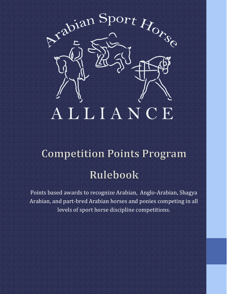

# **Competition Points Program** Rulebook

Points based awards to recognize Arabian, Anglo-Arabian, Shagya Arabian, and part-bred Arabian horses and ponies competing in all levels of sport horse discipline competitions.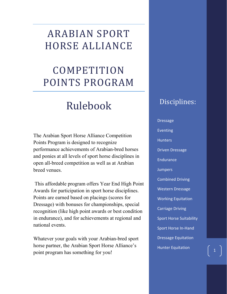# ARABIAN SPORT HORSE ALLIANCE

# COMPETITION POINTS PROGRAM

# Rulebook

The Arabian Sport Horse Alliance Competition Points Program is designed to recognize performance achievements of Arabian-bred horses and ponies at all levels of sport horse disciplines in open all-breed competition as well as at Arabian breed venues.

This affordable program offers Year End High Point Awards for participation in sport horse disciplines. Points are earned based on placings (scores for Dressage) with bonuses for championships, special recognition (like high point awards or best condition in endurance), and for achievements at regional and national events.

Whatever your goals with your Arabian-bred sport horse partner, the Arabian Sport Horse Alliance's point program has something for you!

# Disciplines:

Dressage Eventing **Hunters** Driven Dressage **Endurance Jumpers** Combined Driving Western Dressage Working Equitation Carriage Driving Sport Horse Suitability Sport Horse In-Hand Dressage Equitation Hunter Equitation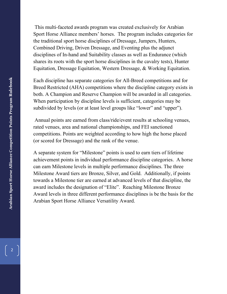This multi-faceted awards program was created exclusively for Arabian Sport Horse Alliance members' horses. The program includes categories for the traditional sport horse disciplines of Dressage, Jumpers, Hunters, Combined Driving, Driven Dressage, and Eventing plus the adjunct disciplines of In-hand and Suitability classes as well as Endurance (which shares its roots with the sport horse disciplines in the cavalry tests), Hunter Equitation, Dressage Equitation, Western Dressage, & Working Equitation.

Each discipline has separate categories for All-Breed competitions and for Breed Restricted (AHA) competitions where the discipline category exists in both. A Champion and Reserve Champion will be awarded in all categories. When participation by discipline levels is sufficient, categories may be subdivided by levels (or at least level groups like "lower" and "upper").

Annual points are earned from class/ride/event results at schooling venues, rated venues, area and national championships, and FEI sanctioned competitions. Points are weighted according to how high the horse placed (or scored for Dressage) and the rank of the venue.

A separate system for "Milestone" points is used to earn tiers of lifetime achievement points in individual performance discipline categories. A horse can earn Milestone levels in multiple performance disciplines. The three Milestone Award tiers are Bronze, Silver, and Gold. Additionally, if points towards a Milestone tier are earned at advanced levels of that discipline, the award includes the designation of "Elite". Reaching Milestone Bronze Award levels in three different performance disciplines is be the basis for the Arabian Sport Horse Alliance Versatility Award.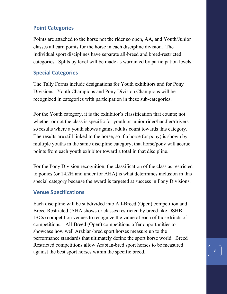## **Point Categories**

Points are attached to the horse not the rider so open, AA, and Youth/Junior classes all earn points for the horse in each discipline division. The individual sport disciplines have separate all-breed and breed-restricted categories. Splits by level will be made as warranted by participation levels.

## **Special Categories**

The Tally Forms include designations for Youth exhibitors and for Pony Divisions. Youth Champions and Pony Division Champions will be recognized in categories with participation in these sub-categories.

For the Youth category, it is the exhibitor's classification that counts; not whether or not the class is specific for youth or junior rider/handler/drivers so results where a youth shows against adults count towards this category. The results are still linked to the horse, so if a horse (or pony) is shown by multiple youths in the same discipline category, that horse/pony will accrue points from each youth exhibitor toward a total in that discipline.

For the Pony Division recognition, the classification of the class as restricted to ponies (or 14.2H and under for AHA) is what determines inclusion in this special category because the award is targeted at success in Pony Divisions.

### **Venue Specifications**

Each discipline will be subdivided into All-Breed (Open) competition and Breed Restricted (AHA shows or classes restricted by breed like DSHB IBCs) competition venues to recognize the value of each of those kinds of competitions. All-Breed (Open) competitions offer opportunities to showcase how well Arabian-bred sport horses measure up to the performance standards that ultimately define the sport horse world. Breed Restricted competitions allow Arabian-bred sport horses to be measured against the best sport horses within the specific breed.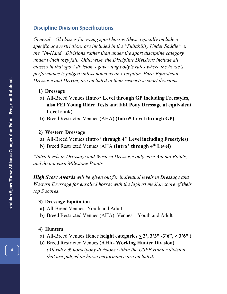#### **Discipline Division Specifications**

*General: All classes for young sport horses (these typically include a specific age restriction) are included in the "Suitability Under Saddle" or the "In-Hand" Divisions rather than under the sport discipline category under which they fall. Otherwise, the Discipline Divisions include all classes in that sport division's governing body's rules where the horse's performance is judged unless noted as an exception. Para-Equestrian Dressage and Driving are included in their respective sport divisions.*

- **1) Dressage**
- **a)** All-Breed Venues **(Intro\* Level through GP including Freestyles, also FEI Young Rider Tests and FEI Pony Dressage at equivalent Level rank)**
- **b)** Breed Restricted Venues (AHA) **(Intro\* Level through GP)**

#### **2) Western Dressage**

- **a)** All-Breed Venues **(Intro\* through 4th Level including Freestyles)**
- **b)** Breed Restricted Venues (AHA **(Intro\* through 4th Level)**

*\*Intro levels in Dressage and Western Dressage only earn Annual Points, and do not earn Milestone Points.*

*High Score Awards will be given out for individual levels in Dressage and Western Dressage for enrolled horses with the highest median score of their top 3 scores.*

#### **3) Dressage Equitation**

- **a)** All-Breed Venues -Youth and Adult
- **b)** Breed Restricted Venues (AHA) Venues Youth and Adult

#### **4) Hunters**

- **a**) All-Breed Venues (fence height categories  $\leq 3$ ',  $3'3'' 3'6''$ ,  $> 3'6''$ )
- **b)** Breed Restricted Venues (**AHA- Working Hunter Division)** *(All rider & horse/pony divisions within the USEF Hunter division that are judged on horse performance are included)*

4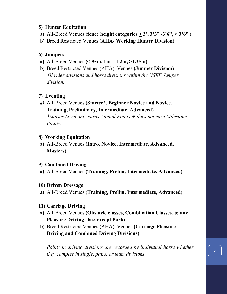#### **5) Hunter Equitation**

- **a)** All-Breed Venues **(fence height categories < 3', 3'3" -3'6", > 3'6" )**
- **b)** Breed Restricted Venues (**AHA- Working Hunter Division)**

#### **6) Jumpers**

- **a)** All-Breed Venues **(<.95m, 1m – 1.2m, >1.25m)**
- **b)** Breed Restricted Venues (AHA) Venues **(Jumper Division)** *All rider divisions and horse divisions within the USEF Jumper division.*

#### **7) Eventing**

*a)* All-Breed Venues **(Starter\*, Beginner Novice and Novice, Training, Preliminary, Intermediate, Advanced)** *\*Starter Level only earns Annual Points & does not earn Milestone Points.* 

#### **8) Working Equitation**

**a)** All-Breed Venues **(Intro, Novice, Intermediate, Advanced, Masters)**

#### **9) Combined Driving**

**a)** All-Breed Venues **(Training, Prelim, Intermediate, Advanced)**

#### **10) Driven Dressage**

**a)** All-Breed Venues **(Training, Prelim, Intermediate, Advanced)**

#### **11) Carriage Driving**

- **a)** All-Breed Venues **(Obstacle classes, Combination Classes, & any Pleasure Driving class except Park)**
- **b)** Breed Restricted Venues (AHA) Venues **(Carriage Pleasure Driving and Combined Driving Divisions)**

*Points in driving divisions are recorded by individual horse whether they compete in single, pairs, or team divisions.*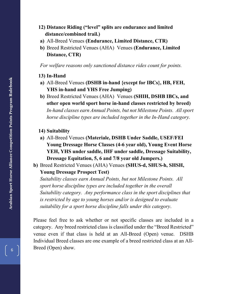#### **12) Distance Riding ("level" splits are endurance and limited distance/combined trail.)**

- **a)** All-Breed Venues **(Endurance, Limited Distance, CTR)**
- **b)** Breed Restricted Venues (AHA) Venues **(Endurance, Limited Distance, CTR)**

*For welfare reasons only sanctioned distance rides count for points.*

#### **13) In-Hand**

- **a)** All-Breed Venues **(DSHB in-hand {except for IBCs}, HB, FEH, YHS in-hand and YHS Free Jumping)**
- **b)** Breed Restricted Venues (AHA) Venues **(SHIH, DSHB IBCs, and other open world sport horse in-hand classes restricted by breed)** *In-hand classes earn Annual Points, but not Milestone Points. All sport horse discipline types are included together in the In-Hand category.*

#### **14) Suitability**

- **a)** All-Breed Venues **(Materiale, DSHB Under Saddle, USEF/FEI Young Dressage Horse Classes (4-6 year old), Young Event Horse YEH, YHS under saddle, IHF under saddle, Dressage Suitability, Dressage Equitation, 5, 6 and 7/8 year old Jumpers.)**
- **b)** Breed Restricted Venues (AHA) Venues **(SHUS-d, SHUS-h, SHSH, Young Dressage Prospect Test)**

*Suitability classes earn Annual Points, but not Milestone Points. All sport horse discipline types are included together in the overall Suitability category. Any performance class in the sport disciplines that is restricted by age to young horses and/or is designed to evaluate suitability for a sport horse discipline falls under this category*.

Please feel free to ask whether or not specific classes are included in a category. Any breed restricted class is classified under the "Breed Restricted" venue even if that class is held at an All-Breed (Open) venue. DSHB Individual Breed classes are one example of a breed restricted class at an All-Breed (Open) show.

6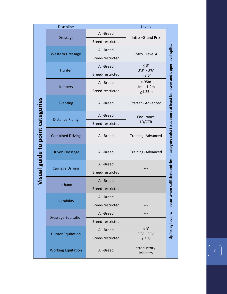|                                  | Discipline                 |                         | Levels                           |                                                                                             |
|----------------------------------|----------------------------|-------------------------|----------------------------------|---------------------------------------------------------------------------------------------|
|                                  | <b>Dressage</b>            | All-Breed               | Intro-Grand Prix                 |                                                                                             |
|                                  |                            | Breed-restricted        |                                  |                                                                                             |
|                                  |                            | All-Breed               | Intro-Level 4                    |                                                                                             |
|                                  | <b>Western Dressage</b>    | Breed-restricted        |                                  |                                                                                             |
|                                  |                            | All-Breed               | $\leq 3'$<br>$3'3'' - 3'6''$     |                                                                                             |
|                                  | Hunter                     | Breed-restricted        | >3'6''                           |                                                                                             |
|                                  |                            | All-Breed               | < .95m<br>$1m - 1.2m$            |                                                                                             |
|                                  | Jumpers                    | Breed-restricted        | >1.25m                           |                                                                                             |
|                                  | <b>Eventing</b>            | All-Breed               | Starter - Advanced               | n sufficient entries in category exist to support at least be lower and upper level splits. |
|                                  |                            | All-Breed               | Endurance                        |                                                                                             |
|                                  | <b>Distance Riding</b>     | Breed-restricted        | LD/CTR                           |                                                                                             |
| Visual guide to point categories | <b>Combined Driving</b>    | All-Breed               | Training - Advanced              |                                                                                             |
|                                  | <b>Driven Dressage</b>     | All-Breed               | Training - Advanced              |                                                                                             |
|                                  | <b>Carriage Driving</b>    | All-Breed               |                                  |                                                                                             |
|                                  |                            | Breed-restricted        |                                  |                                                                                             |
|                                  | In-hand                    | All-Breed               |                                  |                                                                                             |
|                                  |                            | Breed-restricted        |                                  |                                                                                             |
|                                  | Suitability                | All-Breed               |                                  |                                                                                             |
|                                  |                            | Breed-restricted        |                                  |                                                                                             |
|                                  | <b>Dressage Equitation</b> | All-Breed               |                                  |                                                                                             |
|                                  |                            | Breed-restricted        |                                  |                                                                                             |
|                                  | <b>Hunter Equitation</b>   | All-Breed               | $\leq 3'$<br>$3'3'' - 3'6''$     | Splits by level will occur when                                                             |
|                                  |                            | <b>Breed-restricted</b> | >3'6''                           |                                                                                             |
|                                  | <b>Working Equitation</b>  | All-Breed               | Introductory -<br><b>Masters</b> |                                                                                             |

 $\begin{pmatrix} 7 \end{pmatrix}$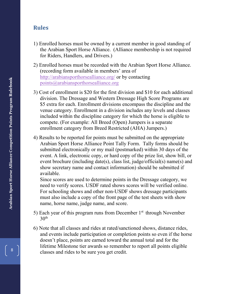# **Rules**

- 1) Enrolled horses must be owned by a current member in good standing of the Arabian Sport Horse Alliance. (Alliance membership is not required for Riders, Handlers, and Drivers.)
- 2) Enrolled horses must be recorded with the Arabian Sport Horse Alliance. (recording form available in members' area of <http://arabiansporthorsealliance.org/> or by contacting [points@arabiansporthorsealliance.org](mailto:points@arabiansporthorsealliance.org)
- 3) Cost of enrollment is \$20 for the first division and \$10 for each additional division. The Dressage and Western Dressage High Score Programs are \$5 extra for each. Enrollment divisions encompass the discipline and the venue category. Enrollment in a division includes any levels and classes included within the discipline category for which the horse is eligible to compete. (For example: All Breed (Open) Jumpers is a separate enrollment category from Breed Restricted (AHA) Jumpers.)
- 4) Results to be reported for points must be submitted on the appropriate Arabian Sport Horse Alliance Point Tally Form. Tally forms should be submitted electronically or my mail (postmarked) within 30 days of the event. A link, electronic copy, or hard copy of the prize list, show bill, or event brochure (including date(s), class list, judge/official(s) name(s) and show secretary name and contact information) should be submitted if available.

Since scores are used to determine points in the Dressage category, we need to verify scores. USDF rated shows scores will be verified online. For schooling shows and other non-USDF shows dressage participants must also include a copy of the front page of the test sheets with show name, horse name, judge name, and score.

- 5) Each year of this program runs from December  $1<sup>st</sup>$  through November  $30<sup>th</sup>$
- 6) Note that all classes and rides at rated/sanctioned shows, distance rides, and events include participation or completion points so even if the horse doesn't place, points are earned toward the annual total and for the lifetime Milestone tier awards so remember to report all points eligible classes and rides to be sure you get credit.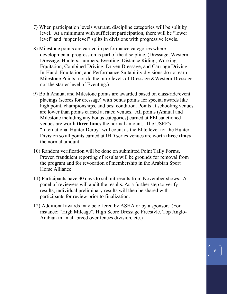- 7) When participation levels warrant, discipline categories will be split by level. At a minimum with sufficient participation, there will be "lower level" and "upper level" splits in divisions with progressive levels.
- 8) Milestone points are earned in performance categories where developmental progression is part of the discipline. (Dressage, Western Dressage, Hunters, Jumpers, Eventing, Distance Riding, Working Equitation, Combined Driving, Driven Dressage, and Carriage Driving. In-Hand, Equitation, and Performance Suitability divisions do not earn Milestone Points -nor do the intro levels of Dressage &Western Dressage nor the starter level of Eventing.)
- 9) Both Annual and Milestone points are awarded based on class/ride/event placings (scores for dressage) with bonus points for special awards like high point, championships, and best condition. Points at schooling venues are lower than points earned at rated venues. All points (Annual and Milestone including any bonus categories) earned at FEI sanctioned venues are worth **three times** the normal amount. The USEF's "International Hunter Derby" will count as the Elite level for the Hunter Division so all points earned at IHD series venues are worth **three times** the normal amount.
- 10) Random verification will be done on submitted Point Tally Forms. Proven fraudulent reporting of results will be grounds for removal from the program and for revocation of membership in the Arabian Sport Horse Alliance.
- 11) Participants have 30 days to submit results from November shows. A panel of reviewers will audit the results. As a further step to verify results, individual preliminary results will then be shared with participants for review prior to finalization.
- 12) Additional awards may be offered by ASHA or by a sponsor. (For instance: "High Mileage", High Score Dressage Freestyle, Top Anglo-Arabian in an all-breed over fences division, etc.)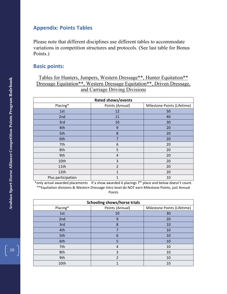#### **Appendix: Points Tables**

Please note that different disciplines use different tables to accommodate variations in competition structures and protocols. (See last table for Bonus Points.)

#### **Basic points:**

Tables for Hunters, Jumpers, Western Dressage\*\*, Hunter Equitation\*\* Dressage Equitation\*\*, Western Dressage Equitation\*\*, Driven Dressage, and Carriage Driving Divisions

| <b>Rated shows/events</b> |                 |                             |  |
|---------------------------|-----------------|-----------------------------|--|
| Placing*                  | Points (Annual) | Milestone Points (Lifetime) |  |
| 1st                       | 12              | 50                          |  |
| 2nd                       | 11              | 40                          |  |
| 3rd                       | 10              | 30                          |  |
| 4th                       | 9               | 20                          |  |
| 5th                       | 8               | 20                          |  |
| 6th                       | 7               | 20                          |  |
| 7th                       | 6               | 20                          |  |
| 8th                       | 5               | 20                          |  |
| 9th                       | 4               | 20                          |  |
| 10th                      | 3               | 20                          |  |
| 11th                      | $\mathfrak{D}$  | 20                          |  |
| 12th                      | 1               | 20                          |  |
| Plus participation        | 1               | 10                          |  |

\*only actual awarded placements If a show awarded 6 placings 7th place and below doesn't count. \*\*Equitation divisions & Western Dressage Intro level do NOT earn Milestone Points, just Annual

Points

| <b>Schooling shows/horse trials</b> |                          |                             |  |
|-------------------------------------|--------------------------|-----------------------------|--|
| Placing*                            | Points (Annual)          | Milestone Points (Lifetime) |  |
| 1st                                 | 10                       | 30                          |  |
| 2nd                                 | 9                        | 20                          |  |
| 3rd                                 | 8                        | 10                          |  |
| 4th                                 |                          | 10                          |  |
| 5th                                 | 6                        | 10                          |  |
| 6th                                 | 5                        | 10                          |  |
| 7th                                 | 4                        | 10                          |  |
| 8th                                 | 3                        | 10                          |  |
| 9th                                 | $\overline{\phantom{a}}$ | 10                          |  |
| 10th                                | 1                        | 10                          |  |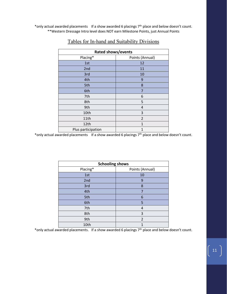\*only actual awarded placements If a show awarded 6 placings 7<sup>th</sup> place and below doesn't count. \*\*Western Dressage Intro level does NOT earn Milestone Points, just Annual Points

| <b>Rated shows/events</b> |                 |  |  |
|---------------------------|-----------------|--|--|
| Placing*                  | Points (Annual) |  |  |
| 1st                       | 12              |  |  |
| 2nd                       | 11              |  |  |
| 3rd                       | 10              |  |  |
| 4th                       | 9               |  |  |
| 5th                       | 8               |  |  |
| 6th                       | $\overline{7}$  |  |  |
| 7th                       | 6               |  |  |
| 8th                       | 5               |  |  |
| 9th                       | 4               |  |  |
| 10th                      | 3               |  |  |
| 11th                      | 2               |  |  |
| 12th                      | 1               |  |  |
| Plus participation        | 1               |  |  |

#### Tables for In-hand and Suitability Divisions

\*only actual awarded placements If a show awarded 6 placings 7th place and below doesn't count.

| <b>Schooling shows</b>      |                |  |  |
|-----------------------------|----------------|--|--|
| Placing*<br>Points (Annual) |                |  |  |
| 1st                         | 10             |  |  |
| 2nd                         | 9              |  |  |
| 3rd                         | 8              |  |  |
| 4th                         | 7              |  |  |
| 5th                         | 6              |  |  |
| 6th                         | 5              |  |  |
| 7th                         | 4              |  |  |
| 8th                         | 3              |  |  |
| 9th                         | $\overline{2}$ |  |  |
| 10th                        | 1              |  |  |

\*only actual awarded placements. If a show awarded 6 placings 7th place and below doesn't count.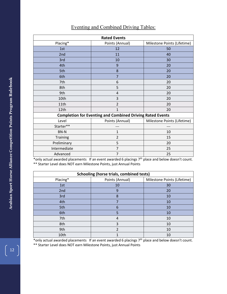| <b>Rated Events</b>                                              |                 |                             |  |
|------------------------------------------------------------------|-----------------|-----------------------------|--|
| Placing*                                                         | Points (Annual) | Milestone Points (Lifetime) |  |
| 1st                                                              | 12              | 50                          |  |
| 2nd                                                              | 11              | 40                          |  |
| 3rd                                                              | 10              | 30                          |  |
| 4th                                                              | 9               | 20                          |  |
| 5th                                                              | 8               | 20                          |  |
| 6th                                                              | $\overline{7}$  | 20                          |  |
| 7th                                                              | 6               | 20                          |  |
| 8th                                                              | 5               | 20                          |  |
| 9th                                                              | 4               | 20                          |  |
| 10th                                                             | 3               | 20                          |  |
| 11th                                                             | $\overline{2}$  | 20                          |  |
| 12th                                                             | 1               | 20                          |  |
| <b>Completion for Eventing and Combined Driving Rated Events</b> |                 |                             |  |
| Level                                                            | Points (Annual) | Milestone Points (Lifetime) |  |
| Starter**                                                        |                 | ---                         |  |
| <b>BN-N</b>                                                      | 1               | 10                          |  |
| <b>Training</b>                                                  | $\overline{2}$  | 15                          |  |
| Preliminary                                                      | 5               | 20                          |  |
| Intermediate                                                     | 7               | 25                          |  |
| Advanced                                                         | 7               | 25                          |  |
|                                                                  |                 |                             |  |

#### Eventing and Combined Driving Tables:

\*only actual awarded placements If an event awarded 6 placings  $7<sup>th</sup>$  place and below doesn't count. \*\* Starter Level does NOT earn Milestone Points, just Annual Points

| <b>Schooling (horse trials, combined tests)</b> |                 |                             |  |
|-------------------------------------------------|-----------------|-----------------------------|--|
| Placing*                                        | Points (Annual) | Milestone Points (Lifetime) |  |
| 1st                                             | 10              | 30                          |  |
| 2nd                                             | 9               | 20                          |  |
| 3rd                                             | 8               | 10                          |  |
| 4th                                             | 7               | 10                          |  |
| 5th                                             | 6               | 10                          |  |
| 6th                                             | 5               | 10                          |  |
| 7th                                             | 4               | 10                          |  |
| 8th                                             | 3               | 10                          |  |
| 9th                                             | $\mathfrak{p}$  | 10                          |  |
| 10th                                            |                 | 10                          |  |

\*only actual awarded placements If an event awarded 6 placings 7<sup>th</sup> place and below doesn't count. \*\* Starter Level does NOT earn Milestone Points, just Annual Points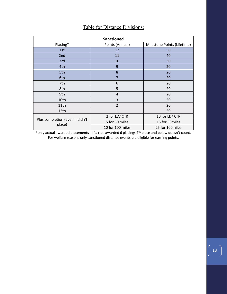| <b>Sanctioned</b>               |                  |                             |  |
|---------------------------------|------------------|-----------------------------|--|
| Placing*                        | Points (Annual)  | Milestone Points (Lifetime) |  |
| 1st                             | 12               | 50                          |  |
| 2nd                             | 11               | 40                          |  |
| 3rd                             | 10               | 30                          |  |
| 4th                             | 9                | 20                          |  |
| 5th                             | 8                | 20                          |  |
| 6th                             | 7                | 20                          |  |
| 7th                             | 6                | 20                          |  |
| 8th                             | 5                | 20                          |  |
| 9th                             | 4                | 20                          |  |
| 10th                            | 3                | 20                          |  |
| 11th                            | $\overline{2}$   | 20                          |  |
| 12th                            | 1                | 20                          |  |
|                                 | 2 for LD/ CTR    | 10 for LD/ CTR              |  |
| Plus completion (even if didn't | 5 for 50 miles   | 15 for 50miles              |  |
| place)                          | 10 for 100 miles | 25 for 100miles             |  |

## Table for Distance Divisions:

\*only actual awarded placements If a ride awarded 6 placings  $7<sup>th</sup>$  place and below doesn't count. For welfare reasons only sanctioned distance events are eligible for earning points.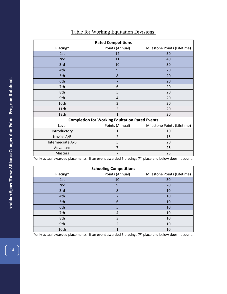| <b>Rated Competitions</b>                             |                 |                             |  |
|-------------------------------------------------------|-----------------|-----------------------------|--|
| Placing*                                              | Points (Annual) | Milestone Points (Lifetime) |  |
| 1st                                                   | 12              | 50                          |  |
| 2nd                                                   | 11              | 40                          |  |
| 3rd                                                   | 10              | 30                          |  |
| 4th                                                   | 9               | 20                          |  |
| 5th                                                   | 8               | 20                          |  |
| 6th                                                   | 7               | 20                          |  |
| 7th                                                   | 6               | 20                          |  |
| 8th                                                   | 5               | 20                          |  |
| 9th                                                   | $\overline{4}$  | 20                          |  |
| 10th                                                  | 3               | 20                          |  |
| 11th                                                  | $\overline{2}$  | 20                          |  |
| 12th                                                  | $\mathbf{1}$    | 20                          |  |
| <b>Completion for Working Equitation Rated Events</b> |                 |                             |  |
| Level                                                 | Points (Annual) | Milestone Points (Lifetime) |  |
| Introductory                                          | 1               | 10                          |  |
| Novice A/B                                            | $\overline{2}$  | 15                          |  |
| Intermediate A/B                                      | 5               | 20                          |  |
| Advanced                                              | 7               | 25                          |  |
| <b>Masters</b>                                        | $\overline{7}$  | 25                          |  |
|                                                       |                 |                             |  |

# Table for Working Equitation Divisions:

\*only actual awarded placements If an event awarded 6 placings 7th place and below doesn't count.

| <b>Schooling Competitions</b> |                 |                             |  |
|-------------------------------|-----------------|-----------------------------|--|
| Placing*                      | Points (Annual) | Milestone Points (Lifetime) |  |
| 1st                           | 10              | 30                          |  |
| 2nd                           | 9               | 20                          |  |
| 3rd                           | 8               | 10                          |  |
| 4th                           |                 | 10                          |  |
| 5th                           | 6               | 10                          |  |
| 6th                           | 5               | 10                          |  |
| 7th                           | 4               | 10                          |  |
| 8th                           | 3               | 10                          |  |
| 9th                           | 2               | 10                          |  |
| 10th                          |                 | 10                          |  |

\*only actual awarded placements If an event awarded 6 placings 7<sup>th</sup> place and below doesn't count.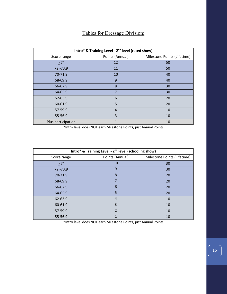#### Tables for Dressage Division:

| Intro* & Training Level - 2 <sup>nd</sup> level (rated show) |                 |                             |  |
|--------------------------------------------------------------|-----------------|-----------------------------|--|
| Score range                                                  | Points (Annual) | Milestone Points (Lifetime) |  |
| > 74                                                         | 12              | 50                          |  |
| 72 - 73.9                                                    | 11              | 50                          |  |
| 70-71.9                                                      | 10              | 40                          |  |
| 68-69.9                                                      | 9               | 40                          |  |
| 66-67.9                                                      | 8               | 30                          |  |
| 64-65.9                                                      | $\overline{7}$  | 30                          |  |
| 62-63.9                                                      | 6               | 20                          |  |
| 60-61.9                                                      | 5               | 20                          |  |
| 57-59.9                                                      | $\overline{4}$  | 10                          |  |
| 55-56.9                                                      | 3               | 10                          |  |
| Plus participation                                           | $\mathbf{1}$    | 10                          |  |

\*Intro level does NOT earn Milestone Points, just Annual Points

| Intro* & Training Level - 2 <sup>nd</sup> level (schooling show) |                 |                             |  |
|------------------------------------------------------------------|-----------------|-----------------------------|--|
| Score range                                                      | Points (Annual) | Milestone Points (Lifetime) |  |
| > 74                                                             | 10              | 30                          |  |
| 72 - 73.9                                                        | 9               | 30                          |  |
| 70-71.9                                                          | 8               | 20                          |  |
| 68-69.9                                                          | 7               | 20                          |  |
| 66-67.9                                                          | 6               | 20                          |  |
| 64-65.9                                                          | 5               | 20                          |  |
| 62-63.9                                                          | 4               | 10                          |  |
| 60-61.9                                                          | 3               | 10                          |  |
| 57-59.9                                                          | $\mathfrak{D}$  | 10                          |  |
| 55-56.9                                                          | 1               | 10                          |  |

\*Intro level does NOT earn Milestone Points, just Annual Points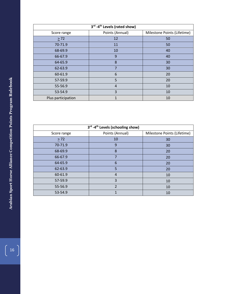| 3rd -4 <sup>th</sup> Levels (rated show) |                 |                             |
|------------------------------------------|-----------------|-----------------------------|
| Score range                              | Points (Annual) | Milestone Points (Lifetime) |
| $\geq$ 72                                | 12              | 50                          |
| 70-71.9                                  | 11              | 50                          |
| 68-69.9                                  | 10              | 40                          |
| 66-67.9                                  | 9               | 40                          |
| 64-65.9                                  | 8               | 30                          |
| 62-63.9                                  | $\overline{7}$  | 30                          |
| 60-61.9                                  | 6               | 20                          |
| 57-59.9                                  | 5               | 20                          |
| 55-56.9                                  | 4               | 10                          |
| 53-54.9                                  | 3               | 10                          |
| Plus participation                       | 1               | 10                          |

| 3rd -4 <sup>th</sup> Levels (schooling show) |                          |                             |  |
|----------------------------------------------|--------------------------|-----------------------------|--|
| Score range                                  | Points (Annual)          | Milestone Points (Lifetime) |  |
| $\geq$ 72                                    | 10                       | 30                          |  |
| 70-71.9                                      | 9                        | 30                          |  |
| 68-69.9                                      | 8                        | 20                          |  |
| 66-67.9                                      |                          | 20                          |  |
| 64-65.9                                      | 6                        | 20                          |  |
| 62-63.9                                      | 5                        | 20                          |  |
| 60-61.9                                      | 4                        | 10                          |  |
| 57-59.9                                      | 3                        | 10                          |  |
| 55-56.9                                      | $\overline{\phantom{a}}$ | 10                          |  |
| 53-54.9                                      |                          | 10                          |  |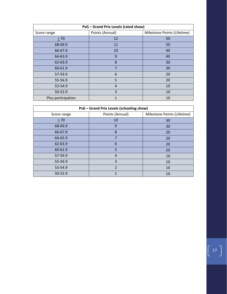| PsG - Grand Prix Levels (rated show) |                 |                             |  |
|--------------------------------------|-----------------|-----------------------------|--|
| Score range                          | Points (Annual) | Milestone Points (Lifetime) |  |
| $\geq 70$                            | 12              | 50                          |  |
| 68-69.9                              | 11              | 50                          |  |
| 66-67.9                              | 10              | 40                          |  |
| 64-65.9                              | 9               | 40                          |  |
| 62-63.9                              | 8               | 30                          |  |
| 60-61.9                              | 7               | 30                          |  |
| 57-59.9                              | 6               | 20                          |  |
| 55-56.9                              | 5               | 20                          |  |
| 53-54.9                              | $\overline{4}$  | 10                          |  |
| 50-52.9                              | 3               | 10                          |  |
| Plus participation                   | 1               | 10                          |  |

| PsG - Grand Prix Levels (schooling show) |                 |                             |  |
|------------------------------------------|-----------------|-----------------------------|--|
| Score range                              | Points (Annual) | Milestone Points (Lifetime) |  |
| $\geq 70$                                | 10              | 30                          |  |
| 68-69.9                                  | 9               | 30                          |  |
| 66-67.9                                  | 8               | 20                          |  |
| 64-65.9                                  | 7               | 20                          |  |
| 62-63.9                                  | 6               | 20                          |  |
| 60-61.9                                  | 5               | 20                          |  |
| 57-59.9                                  | $\overline{4}$  | 10                          |  |
| 55-56.9                                  | 3               | 10                          |  |
| 53-54.9                                  | $\overline{2}$  | 10                          |  |
| 50-52.9                                  | 1               | 10                          |  |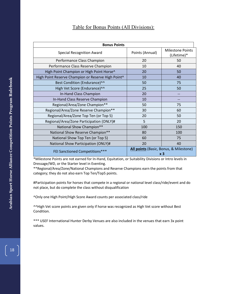#### Table for Bonus Points (All Divisions):

| <b>Bonus Points</b>                                |                 |                                                          |
|----------------------------------------------------|-----------------|----------------------------------------------------------|
| <b>Special Recognition Award</b>                   | Points (Annual) | <b>Milestone Points</b><br>(Lifetime)*                   |
| Performance Class Champion                         | 20              | 50                                                       |
| Performance Class Reserve Champion                 | 10              | 40                                                       |
| High Point Champion or High Point Horse^           | 20              | 50                                                       |
| High Point Reserve Champion or Reserve High Point^ | 10              | 40                                                       |
| Best Condition (Endurance)^^                       | 50              | 75                                                       |
| High Vet Score (Endurance)^^                       | 25              | 50                                                       |
| In-Hand Class Champion                             | 20              |                                                          |
| In-Hand Class Reserve Champion                     | 10              |                                                          |
| Regional/Area/Zone Champion**                      | 50              | 75                                                       |
| Regional/Area/Zone Reserve Champion**              | 30              | 60                                                       |
| Regional/Area/Zone Top Ten (or Top 5)              | 20              | 50                                                       |
| Regional/Area/Zone Participation (ONLY)#           | 5               | 20                                                       |
| National Show Champion**                           | 100             | 150                                                      |
| National Show Reserve Champion**                   | 80              | 100                                                      |
| National Show Top Ten (or Top 5)                   | 60              | 75                                                       |
| National Show Participation (ONLY)#                | 20              | 40                                                       |
| FEI Sanctioned Competitions***                     |                 | All points (Basic, Bonus, & Milestone)<br>x <sub>3</sub> |

\*Milestone Points are not earned for In-Hand, Equitation, or Suitability Divisions or Intro levels in Dressage/WD, or the Starter level in Eventing.

\*\*Regional/Area/Zone/National Champions and Reserve Champions earn the points from that category; they do not also earn Top Ten/Top5 points.

#Participation points for horses that compete in a regional or national level class/ride/event and do not place, but do complete the class without disqualification

^Only one High Point/High Score Award counts per associated class/ride

^^High Vet score points are given only if horse was recognized as High Vet score without Best Condition.

\*\*\* USEF International Hunter Derby Venues are also included in the venues that earn 3x point values.